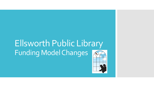# Ellsworth Public Library Funding Model Changes

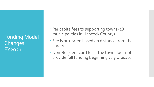Funding Model **Changes** FY2021

- Per capita fees to supporting towns (18) municipalities in Hancock County).
- Fee is pro-rated based on distance from the library.
- Non-Resident card fee if the town does not provide full funding beginning July 1, 2020.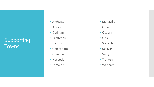# Supporting Towns

- Amherst
- Aurora
- Dedham
- Eastbrook
- Franklin
- Gouldsboro
- Great Pond
- Hancock
- Lamoine
- Mariaville
- Orland
- Osborn
- Otis
- Sorrento
- Sullivan
- Surry
- Trenton
- Waltham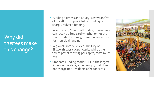Why did trustees make this change?

- Funding Fairness and Equity: Last year, five of the 18 towns provided no funding or sharply reduced funding.
- Incentivizing Municipal Funding: If residents can receive a free card whether or not the town funds the library, there is no incentive for municipal funding.
- Regional Library Service: The City of Ellsworth pays \$75 per capita while other towns pay at most \$5 per capita, most much less.
- Standard Funding Model: EPL is the largest library in the state, after Bangor, that does not charge non-residents a fee for cards.

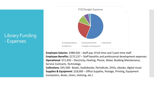### Library Funding - Expenses



**Employee Salaries**: \$389,926 – Staff pay: 8 full-time and 3 part-time staff **Employee Benefits:** \$172,157 – Staff benefits and professional development expenses **Operational**: \$71,450 – Electricity, Heating, Phone, Water, Building Maintenance, Service Contracts, Technology **Collections**: \$45,500– Books, Audiobooks, Periodicals, DVDs, ebooks, digital music **Supplies & Equipment**: \$18,000 – Office Supplies, Postage, Printing, Equipment (computers, desks, chairs, shelving, etc.)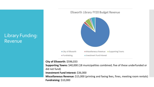### Library Funding: Revenue



**City of Ellsworth:** \$596,033

**Supporting Towns:** \$40,000 (18 municipalities combined; five of these underfunded or did not fund)

**Investment Fund Interest:** \$36,000

**Miscellaneous Revenue:** \$15,000 (printing and faxing fees, fines, meeting room rentals) **Fundraising:** \$10,000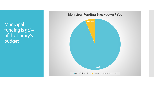Municipal funding is 91% of the library's budget



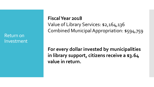Return on Investment

#### **Fiscal Year 2018**

Value of Library Services: \$2,164,136 Combined Municipal Appropriation: \$594,759

**For every dollar invested by municipalities in library support, citizens receive a \$3.64 value in return.**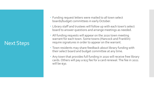# Next Steps

- Funding request letters were mailed to all town select boards/budget committees in early October.
- Library staff and trustees will follow up with each town's select board to answer questions and arrange meetings as needed.
- All funding requests will appear on the 2020 town meeting warrant for each town. Some towns (Hancock and Franklin) require signatures in order to appear on the warrant.
- Town residents may share feedback about library funding with their select board and budget committee at any time.
- Any town that provides full funding in 2020 will receive free library cards. Others will pay a \$25 fee for a card renewal. The fee in 2021 will be \$30.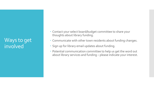## Ways to get involved

- Contact your select board/budget committee to share your thoughts about library funding.
- Communicate with other town residents about funding changes.
- Sign up for library email updates about funding.
- Potential communication committee to help us get the word out about library services and funding – please indicate your interest.